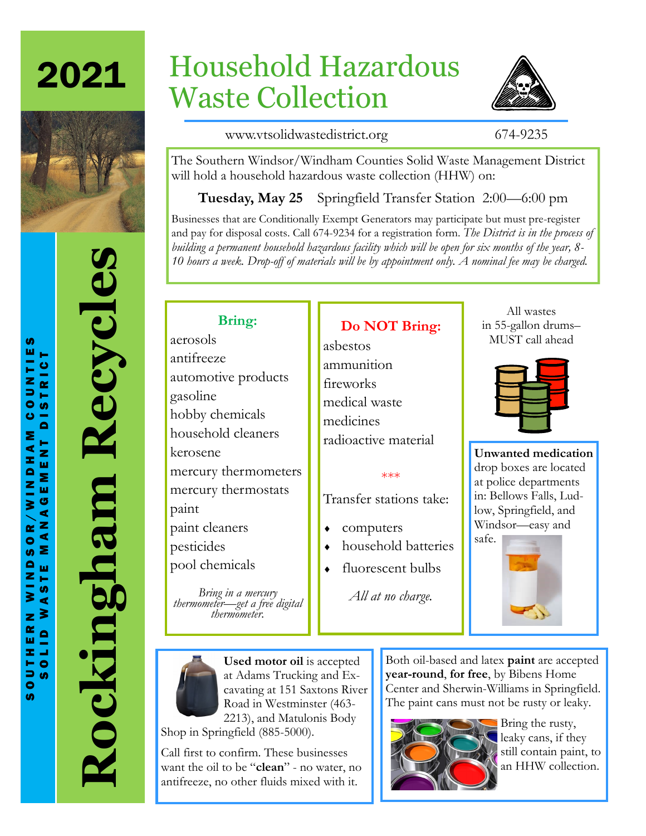2021



# **Rockingham Recycles** Rockingham Recycles

# Household Hazardous Waste Collection



www.vtsolidwastedistrict.org 674-9235

The Southern Windsor/Windham Counties Solid Waste Management District will hold a household hazardous waste collection (HHW) on:

**Tuesday, May 25** Springfield Transfer Station 2:00—6:00 pm

Businesses that are Conditionally Exempt Generators may participate but must pre-register and pay for disposal costs. Call 674-9234 for a registration form. *The District is in the process of building a permanent household hazardous facility which will be open for six months of the year, 8- 10 hours a week. Drop-off of materials will be by appointment only. A nominal fee may be charged.*

**Do NOT Bring:**

# **Bring:**

aerosols antifreeze automotive products gasoline hobby chemicals household cleaners kerosene mercury thermometers mercury thermostats paint paint cleaners pesticides pool chemicals

*Bring in a mercury thermometer—get a free digital thermometer.*

asbestos ammunition fireworks medical waste medicines radioactive material

### \*\*\*

Transfer stations take:

- computers
- household batteries
- fluorescent bulbs

*All at no charge.*

All wastes in 55-gallon drums– MUST call ahead

**Unwanted medication**  drop boxes are located at police departments in: Bellows Falls, Ludlow, Springfield, and Windsor—easy and





**Used motor oil** is accepted at Adams Trucking and Excavating at 151 Saxtons River Road in Westminster (463- 2213), and Matulonis Body

Shop in Springfield (885-5000).

Call first to confirm. These businesses want the oil to be "**clean**" - no water, no antifreeze, no other fluids mixed with it.

Both oil-based and latex **paint** are accepted **year-round**, **for free**, by Bibens Home Center and Sherwin-Williams in Springfield. The paint cans must not be rusty or leaky.



**Bring the rusty,** leaky cans, if they still contain paint, to an HHW collection.